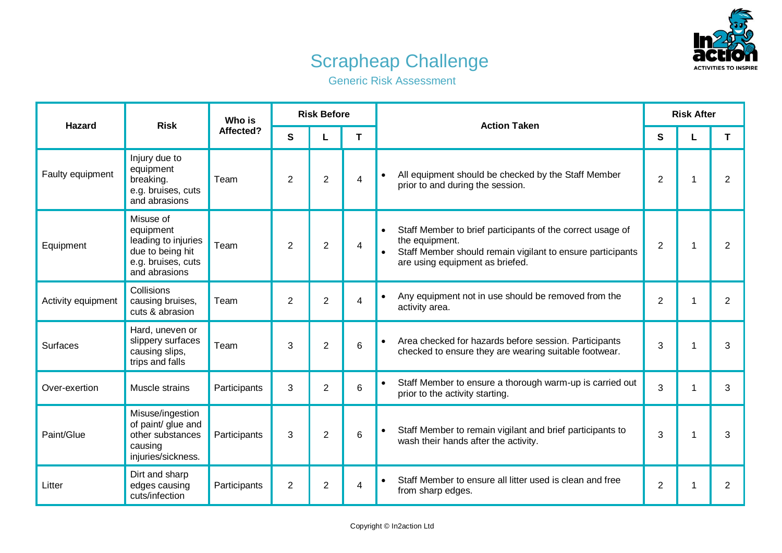

## Scrapheap Challenge

Generic Risk Assessment

| <b>Hazard</b>      | <b>Risk</b>                                                                                              | Who is<br>Affected? | <b>Risk Before</b> |                |   | <b>Action Taken</b>                                                                                                                                                                        | <b>Risk After</b> |  |                |
|--------------------|----------------------------------------------------------------------------------------------------------|---------------------|--------------------|----------------|---|--------------------------------------------------------------------------------------------------------------------------------------------------------------------------------------------|-------------------|--|----------------|
|                    |                                                                                                          |                     | $\mathbf{s}$       |                | T |                                                                                                                                                                                            | S                 |  | T              |
| Faulty equipment   | Injury due to<br>equipment<br>breaking.<br>e.g. bruises, cuts<br>and abrasions                           | Team                | 2                  | $\overline{2}$ | 4 | All equipment should be checked by the Staff Member<br>$\bullet$<br>prior to and during the session.                                                                                       | $\overline{2}$    |  | $\overline{2}$ |
| Equipment          | Misuse of<br>equipment<br>leading to injuries<br>due to being hit<br>e.g. bruises, cuts<br>and abrasions | Team                | $\overline{2}$     | $\overline{2}$ | 4 | Staff Member to brief participants of the correct usage of<br>$\bullet$<br>the equipment.<br>Staff Member should remain vigilant to ensure participants<br>are using equipment as briefed. | $\overline{2}$    |  | $\overline{2}$ |
| Activity equipment | Collisions<br>causing bruises,<br>cuts & abrasion                                                        | Team                | 2                  | $\overline{2}$ | 4 | Any equipment not in use should be removed from the<br>$\bullet$<br>activity area.                                                                                                         | $\overline{2}$    |  | $\overline{2}$ |
| <b>Surfaces</b>    | Hard, uneven or<br>slippery surfaces<br>causing slips,<br>trips and falls                                | Team                | 3                  | $\overline{2}$ | 6 | Area checked for hazards before session. Participants<br>$\bullet$<br>checked to ensure they are wearing suitable footwear.                                                                | 3                 |  | 3              |
| Over-exertion      | Muscle strains                                                                                           | Participants        | 3                  | 2              | 6 | Staff Member to ensure a thorough warm-up is carried out<br>$\bullet$<br>prior to the activity starting.                                                                                   | 3                 |  | 3              |
| Paint/Glue         | Misuse/ingestion<br>of paint/ glue and<br>other substances<br>causing<br>injuries/sickness.              | Participants        | 3                  | $\overline{2}$ | 6 | Staff Member to remain vigilant and brief participants to<br>$\bullet$<br>wash their hands after the activity.                                                                             | 3                 |  | 3              |
| Litter             | Dirt and sharp<br>edges causing<br>cuts/infection                                                        | Participants        | $\overline{2}$     | $\overline{2}$ | 4 | Staff Member to ensure all litter used is clean and free<br>from sharp edges.                                                                                                              | $\overline{2}$    |  | 2              |